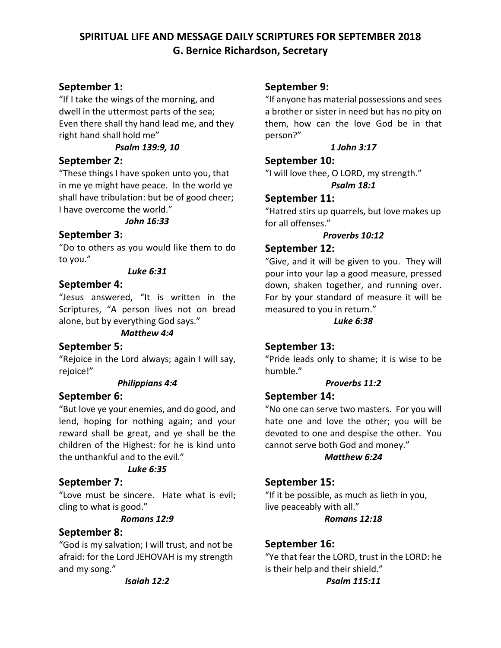# **SPIRITUAL LIFE AND MESSAGE DAILY SCRIPTURES FOR SEPTEMBER 2018 G. Bernice Richardson, Secretary**

# **September 1:**

"If I take the wings of the morning, and dwell in the uttermost parts of the sea; Even there shall thy hand lead me, and they right hand shall hold me"

### *Psalm 139:9, 10*

## **September 2:**

"These things I have spoken unto you, that in me ye might have peace. In the world ye shall have tribulation: but be of good cheer; I have overcome the world."

#### *John 16:33*

## **September 3:**

"Do to others as you would like them to do to you."

#### *Luke 6:31*

## **September 4:**

"Jesus answered, "It is written in the Scriptures, "A person lives not on bread alone, but by everything God says."

#### *Matthew 4:4*

## **September 5:**

"Rejoice in the Lord always; again I will say, rejoice!"

#### *Philippians 4:4*

## **September 6:**

"But love ye your enemies, and do good, and lend, hoping for nothing again; and your reward shall be great, and ye shall be the children of the Highest: for he is kind unto the unthankful and to the evil."

#### *Luke 6:35*

## **September 7:**

"Love must be sincere. Hate what is evil; cling to what is good."

#### *Romans 12:9*

## **September 8:**

"God is my salvation; I will trust, and not be afraid: for the Lord JEHOVAH is my strength and my song."

#### *Isaiah 12:2*

## **September 9:**

"If anyone has material possessions and sees a brother or sister in need but has no pity on them, how can the love God be in that person?"

### *1 John 3:17*

### **September 10:**

"I will love thee, O LORD, my strength." *Psalm 18:1*

## **September 11:**

"Hatred stirs up quarrels, but love makes up for all offenses."

#### *Proverbs 10:12*

## **September 12:**

"Give, and it will be given to you. They will pour into your lap a good measure, pressed down, shaken together, and running over. For by your standard of measure it will be measured to you in return."

#### *Luke 6:38*

# **September 13:**

"Pride leads only to shame; it is wise to be humble."

#### *Proverbs 11:2*

#### **September 14:**

"No one can serve two masters. For you will hate one and love the other; you will be devoted to one and despise the other. You cannot serve both God and money."

## *Matthew 6:24*

**September 15:** "If it be possible, as much as lieth in you, live peaceably with all."

#### *Romans 12:18*

## **September 16:**

"Ye that fear the LORD, trust in the LORD: he is their help and their shield."

#### *Psalm 115:11*